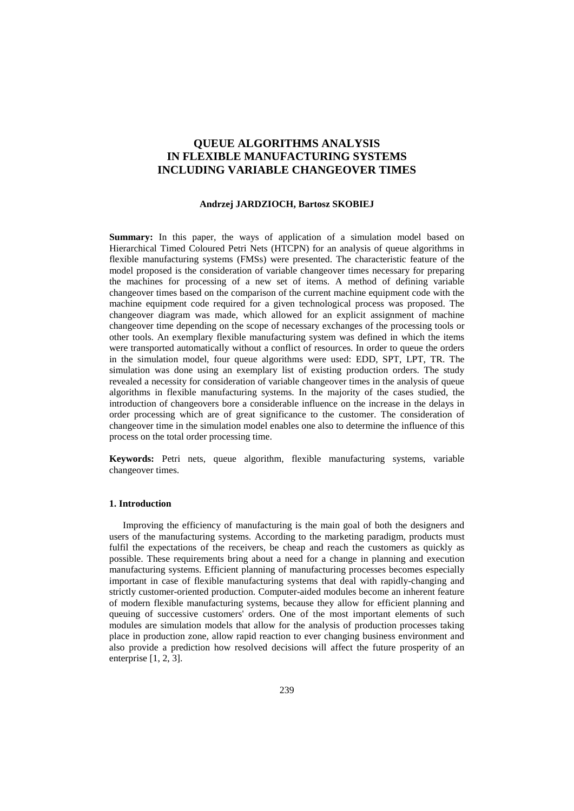# **QUEUE ALGORITHMS ANALYSIS IN FLEXIBLE MANUFACTURING SYSTEMS INCLUDING VARIABLE CHANGEOVER TIMES**

### **Andrzej JARDZIOCH, Bartosz SKOBIEJ**

Summary: In this paper, the ways of application of a simulation model based on Hierarchical Timed Coloured Petri Nets (HTCPN) for an analysis of queue algorithms in flexible manufacturing systems (FMSs) were presented. The characteristic feature of the model proposed is the consideration of variable changeover times necessary for preparing the machines for processing of a new set of items. A method of defining variable changeover times based on the comparison of the current machine equipment code with the machine equipment code required for a given technological process was proposed. The changeover diagram was made, which allowed for an explicit assignment of machine changeover time depending on the scope of necessary exchanges of the processing tools or other tools. An exemplary flexible manufacturing system was defined in which the items were transported automatically without a conflict of resources. In order to queue the orders in the simulation model, four queue algorithms were used: EDD, SPT, LPT, TR. The simulation was done using an exemplary list of existing production orders. The study revealed a necessity for consideration of variable changeover times in the analysis of queue algorithms in flexible manufacturing systems. In the majority of the cases studied, the introduction of changeovers bore a considerable influence on the increase in the delays in order processing which are of great significance to the customer. The consideration of changeover time in the simulation model enables one also to determine the influence of this process on the total order processing time.

**Keywords:** Petri nets, queue algorithm, flexible manufacturing systems, variable changeover times.

## **1. Introduction**

Improving the efficiency of manufacturing is the main goal of both the designers and users of the manufacturing systems. According to the marketing paradigm, products must fulfil the expectations of the receivers, be cheap and reach the customers as quickly as possible. These requirements bring about a need for a change in planning and execution manufacturing systems. Efficient planning of manufacturing processes becomes especially important in case of flexible manufacturing systems that deal with rapidly-changing and strictly customer-oriented production. Computer-aided modules become an inherent feature of modern flexible manufacturing systems, because they allow for efficient planning and queuing of successive customers' orders. One of the most important elements of such modules are simulation models that allow for the analysis of production processes taking place in production zone, allow rapid reaction to ever changing business environment and also provide a prediction how resolved decisions will affect the future prosperity of an enterprise [1, 2, 3].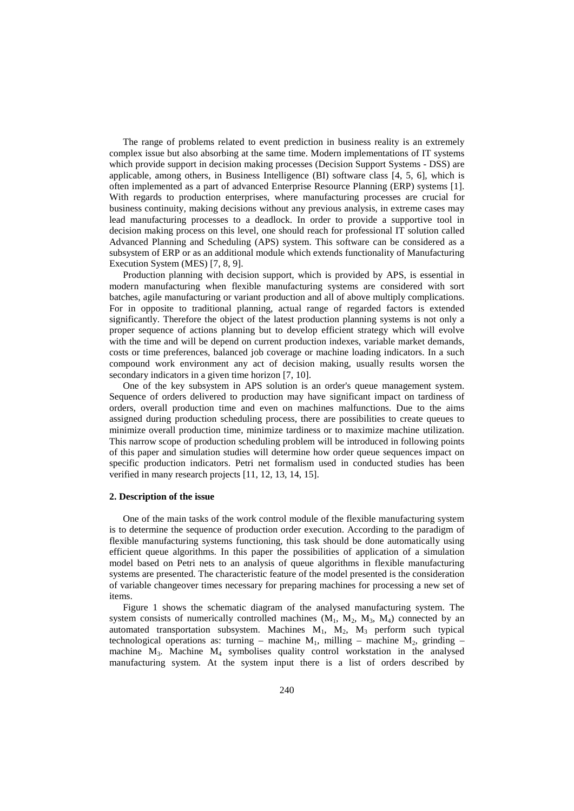The range of problems related to event prediction in business reality is an extremely complex issue but also absorbing at the same time. Modern implementations of IT systems which provide support in decision making processes (Decision Support Systems - DSS) are applicable, among others, in Business Intelligence (BI) software class [4, 5, 6], which is often implemented as a part of advanced Enterprise Resource Planning (ERP) systems [1]. With regards to production enterprises, where manufacturing processes are crucial for business continuity, making decisions without any previous analysis, in extreme cases may lead manufacturing processes to a deadlock. In order to provide a supportive tool in decision making process on this level, one should reach for professional IT solution called Advanced Planning and Scheduling (APS) system. This software can be considered as a subsystem of ERP or as an additional module which extends functionality of Manufacturing Execution System (MES) [7, 8, 9].

Production planning with decision support, which is provided by APS, is essential in modern manufacturing when flexible manufacturing systems are considered with sort batches, agile manufacturing or variant production and all of above multiply complications. For in opposite to traditional planning, actual range of regarded factors is extended significantly. Therefore the object of the latest production planning systems is not only a proper sequence of actions planning but to develop efficient strategy which will evolve with the time and will be depend on current production indexes, variable market demands, costs or time preferences, balanced job coverage or machine loading indicators. In a such compound work environment any act of decision making, usually results worsen the secondary indicators in a given time horizon [7, 10].

One of the key subsystem in APS solution is an order's queue management system. Sequence of orders delivered to production may have significant impact on tardiness of orders, overall production time and even on machines malfunctions. Due to the aims assigned during production scheduling process, there are possibilities to create queues to minimize overall production time, minimize tardiness or to maximize machine utilization. This narrow scope of production scheduling problem will be introduced in following points of this paper and simulation studies will determine how order queue sequences impact on specific production indicators. Petri net formalism used in conducted studies has been verified in many research projects [11, 12, 13, 14, 15].

#### **2. Description of the issue**

One of the main tasks of the work control module of the flexible manufacturing system is to determine the sequence of production order execution. According to the paradigm of flexible manufacturing systems functioning, this task should be done automatically using efficient queue algorithms. In this paper the possibilities of application of a simulation model based on Petri nets to an analysis of queue algorithms in flexible manufacturing systems are presented. The characteristic feature of the model presented is the consideration of variable changeover times necessary for preparing machines for processing a new set of items.

Figure 1 shows the schematic diagram of the analysed manufacturing system. The system consists of numerically controlled machines  $(M_1, M_2, M_3, M_4)$  connected by an automated transportation subsystem. Machines  $M_1$ ,  $M_2$ ,  $M_3$  perform such typical technological operations as: turning – machine  $M_1$ , milling – machine  $M_2$ , grinding – machine  $M_3$ . Machine  $M_4$  symbolises quality control workstation in the analysed manufacturing system. At the system input there is a list of orders described by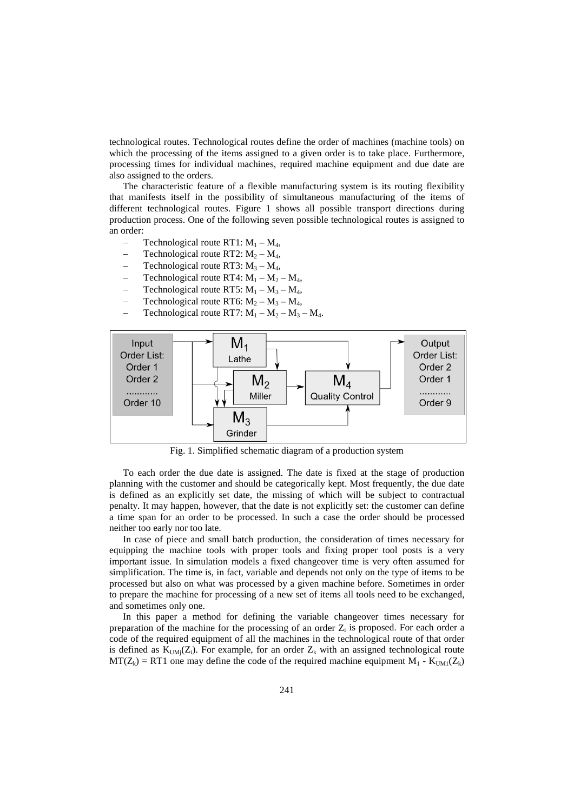technological routes. Technological routes define the order of machines (machine tools) on which the processing of the items assigned to a given order is to take place. Furthermore, processing times for individual machines, required machine equipment and due date are also assigned to the orders.

The characteristic feature of a flexible manufacturing system is its routing flexibility that manifests itself in the possibility of simultaneous manufacturing of the items of different technological routes. Figure 1 shows all possible transport directions during production process. One of the following seven possible technological routes is assigned to an order:

- Technological route RT1:  $M_1 M_4$ ,
- Technological route RT2:  $M_2 M_4$ ,
- Technological route RT3:  $M_3 M_4$ ,
- Technological route RT4:  $M_1 M_2 M_4$ ,
- Technological route RT5:  $M_1 M_3 M_4$ ,
- Technological route RT6:  $M_2 M_3 M_4$ ,
- Technological route RT7:  $M_1 M_2 M_3 M_4$ .



Fig. 1. Simplified schematic diagram of a production system

To each order the due date is assigned. The date is fixed at the stage of production planning with the customer and should be categorically kept. Most frequently, the due date is defined as an explicitly set date, the missing of which will be subject to contractual penalty. It may happen, however, that the date is not explicitly set: the customer can define a time span for an order to be processed. In such a case the order should be processed neither too early nor too late.

In case of piece and small batch production, the consideration of times necessary for equipping the machine tools with proper tools and fixing proper tool posts is a very important issue. In simulation models a fixed changeover time is very often assumed for simplification. The time is, in fact, variable and depends not only on the type of items to be processed but also on what was processed by a given machine before. Sometimes in order to prepare the machine for processing of a new set of items all tools need to be exchanged, and sometimes only one.

In this paper a method for defining the variable changeover times necessary for preparation of the machine for the processing of an order  $Z_i$  is proposed. For each order a code of the required equipment of all the machines in the technological route of that order is defined as  $K_{UMi}(Z_i)$ . For example, for an order  $Z_k$  with an assigned technological route  $MT(Z_k) = RT1$  one may define the code of the required machine equipment M<sub>1</sub> - K<sub>UM1</sub>(Z<sub>k</sub>)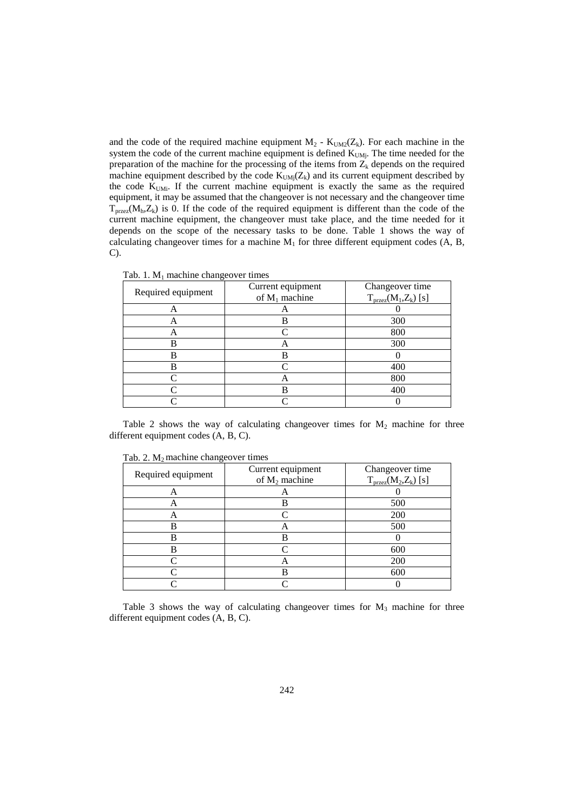and the code of the required machine equipment  $M_2$  -  $K_{UM2}(Z_k)$ . For each machine in the system the code of the current machine equipment is defined  $K_{UMi}$ . The time needed for the preparation of the machine for the processing of the items from  $Z_k$  depends on the required machine equipment described by the code  $K_{UMi}(Z_k)$  and its current equipment described by the code  $K_{UMi}$ . If the current machine equipment is exactly the same as the required equipment, it may be assumed that the changeover is not necessary and the changeover time  $T_{przez}(M_h, Z_k)$  is 0. If the code of the required equipment is different than the code of the current machine equipment, the changeover must take place, and the time needed for it depends on the scope of the necessary tasks to be done. Table 1 shows the way of calculating changeover times for a machine  $M_1$  for three different equipment codes (A, B, C).

| ັ<br>Required equipment | Current equipment<br>of $M_1$ machine | Changeover time<br>$T_{przez}(M_1,Z_k)$ [s] |
|-------------------------|---------------------------------------|---------------------------------------------|
| A                       |                                       |                                             |
|                         |                                       | 300                                         |
|                         |                                       | 800                                         |
|                         |                                       | 300                                         |
|                         |                                       |                                             |
|                         |                                       | 400                                         |
|                         |                                       | 800                                         |
|                         |                                       | 400                                         |
|                         |                                       |                                             |

Tab. 1.  $M_1$  machine changeover times

Table 2 shows the way of calculating changeover times for  $M_2$  machine for three different equipment codes (A, B, C).

| $\mathbf{r}$ as $\mathbf{r}$ . $\mathbf{r}$ $\mathbf{r}$ and $\mathbf{r}$ and $\mathbf{r}$ and $\mathbf{r}$ and $\mathbf{r}$ and $\mathbf{r}$ |                                       |                                             |  |  |
|-----------------------------------------------------------------------------------------------------------------------------------------------|---------------------------------------|---------------------------------------------|--|--|
| Required equipment                                                                                                                            | Current equipment<br>of $M_2$ machine | Changeover time<br>$T_{przez}(M_2,Z_k)$ [s] |  |  |
|                                                                                                                                               |                                       |                                             |  |  |
|                                                                                                                                               |                                       | 500                                         |  |  |
|                                                                                                                                               |                                       | 200                                         |  |  |
| R                                                                                                                                             |                                       | 500                                         |  |  |
|                                                                                                                                               |                                       |                                             |  |  |
|                                                                                                                                               |                                       | 600                                         |  |  |
|                                                                                                                                               |                                       | 200                                         |  |  |
|                                                                                                                                               |                                       | 600                                         |  |  |
|                                                                                                                                               |                                       |                                             |  |  |

Tab. 2.  $M_2$  machine changeover times

Table 3 shows the way of calculating changeover times for  $M_3$  machine for three different equipment codes (A, B, C).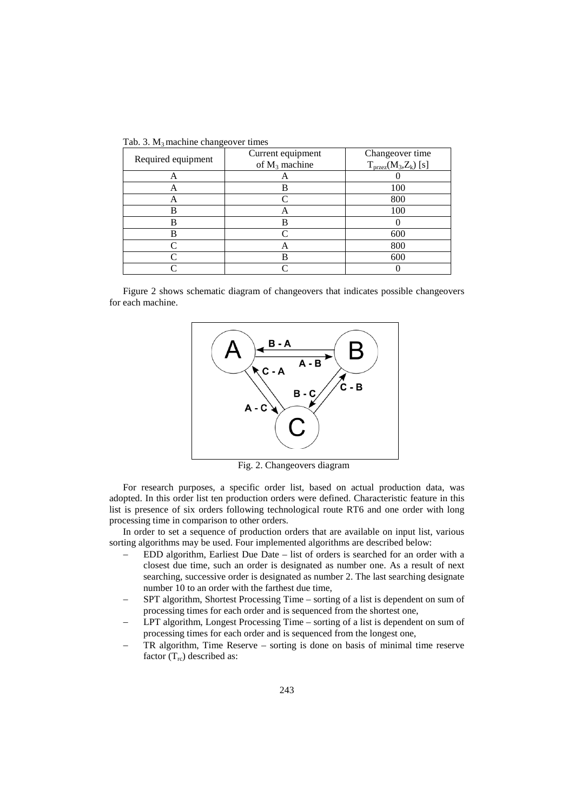|  | Tab. 3. $M_3$ machine changeover times |  |  |
|--|----------------------------------------|--|--|
|--|----------------------------------------|--|--|

| Required equipment | Current equipment<br>of $M_3$ machine | Changeover time<br>$T_{przez}(M_3,Z_k)$ [s] |
|--------------------|---------------------------------------|---------------------------------------------|
|                    |                                       |                                             |
|                    | в                                     | 100                                         |
|                    |                                       | 800                                         |
|                    |                                       | 100                                         |
| R                  | R                                     |                                             |
| R                  |                                       | 600                                         |
|                    | А                                     | 800                                         |
|                    |                                       | 600                                         |
|                    |                                       |                                             |

Figure 2 shows schematic diagram of changeovers that indicates possible changeovers for each machine.



Fig. 2. Changeovers diagram

For research purposes, a specific order list, based on actual production data, was adopted. In this order list ten production orders were defined. Characteristic feature in this list is presence of six orders following technological route RT6 and one order with long processing time in comparison to other orders.

In order to set a sequence of production orders that are available on input list, various sorting algorithms may be used. Four implemented algorithms are described below:

- − EDD algorithm, Earliest Due Date list of orders is searched for an order with a closest due time, such an order is designated as number one. As a result of next searching, successive order is designated as number 2. The last searching designate number 10 to an order with the farthest due time,
- SPT algorithm, Shortest Processing Time sorting of a list is dependent on sum of processing times for each order and is sequenced from the shortest one,
- − LPT algorithm, Longest Processing Time sorting of a list is dependent on sum of processing times for each order and is sequenced from the longest one,
- TR algorithm, Time Reserve sorting is done on basis of minimal time reserve factor  $(T_{rc})$  described as: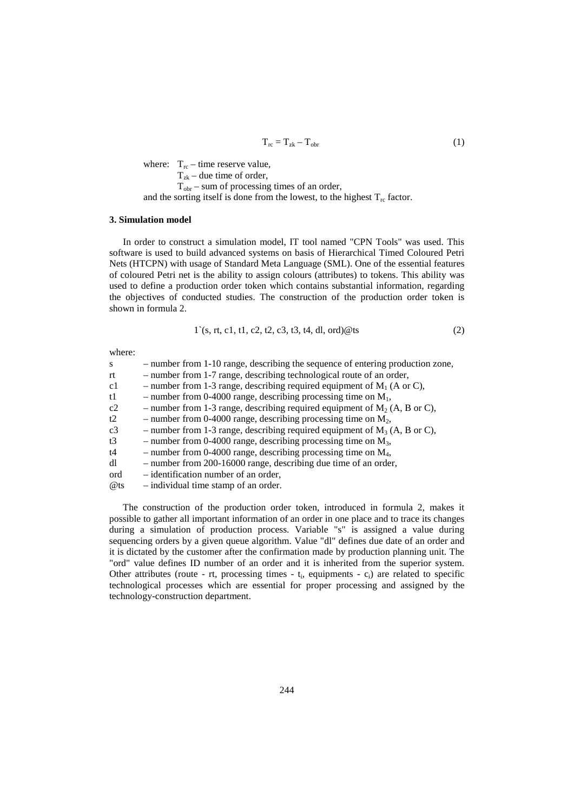$$
T_{rc} = T_{zk} - T_{obr}
$$
 (1)

where:  $T_{\text{rc}}$  – time reserve value,

 $T_{zk}$  – due time of order,

 $T_{\text{obr}}$  – sum of processing times of an order,

and the sorting itself is done from the lowest, to the highest  $T_{rc}$  factor.

# **3. Simulation model**

In order to construct a simulation model, IT tool named "CPN Tools" was used. This software is used to build advanced systems on basis of Hierarchical Timed Coloured Petri Nets (HTCPN) with usage of Standard Meta Language (SML). One of the essential features of coloured Petri net is the ability to assign colours (attributes) to tokens. This ability was used to define a production order token which contains substantial information, regarding the objectives of conducted studies. The construction of the production order token is shown in formula 2.

$$
1
$$
<sup>'</sup>(s, rt, c1, t1, c2, t2, c3, t3, t4, dl, ord)@ts (2)

where:

| S              | - number from 1-10 range, describing the sequence of entering production zone,        |
|----------------|---------------------------------------------------------------------------------------|
| rt             | - number from 1-7 range, describing technological route of an order,                  |
| c1             | - number from 1-3 range, describing required equipment of $M_1$ (A or C),             |
| t1             | - number from 0-4000 range, describing processing time on $M_1$ ,                     |
| c2             | - number from 1-3 range, describing required equipment of $M_2(A, B \text{ or } C)$ , |
| t2             | - number from 0-4000 range, describing processing time on $M_2$ ,                     |
| c <sub>3</sub> | - number from 1-3 range, describing required equipment of $M_3(A, B \text{ or } C)$ , |
| t3             | - number from 0-4000 range, describing processing time on $M_3$ ,                     |
| t4             | - number from 0-4000 range, describing processing time on $M_4$ ,                     |
| dl             | - number from 200-16000 range, describing due time of an order,                       |
| ord            | - identification number of an order,                                                  |
| @ts            | - individual time stamp of an order.                                                  |

The construction of the production order token, introduced in formula 2, makes it possible to gather all important information of an order in one place and to trace its changes during a simulation of production process. Variable "s" is assigned a value during sequencing orders by a given queue algorithm. Value "dl" defines due date of an order and it is dictated by the customer after the confirmation made by production planning unit. The "ord" value defines ID number of an order and it is inherited from the superior system. Other attributes (route - rt, processing times -  $t_i$ , equipments -  $c_i$ ) are related to specific technological processes which are essential for proper processing and assigned by the technology-construction department.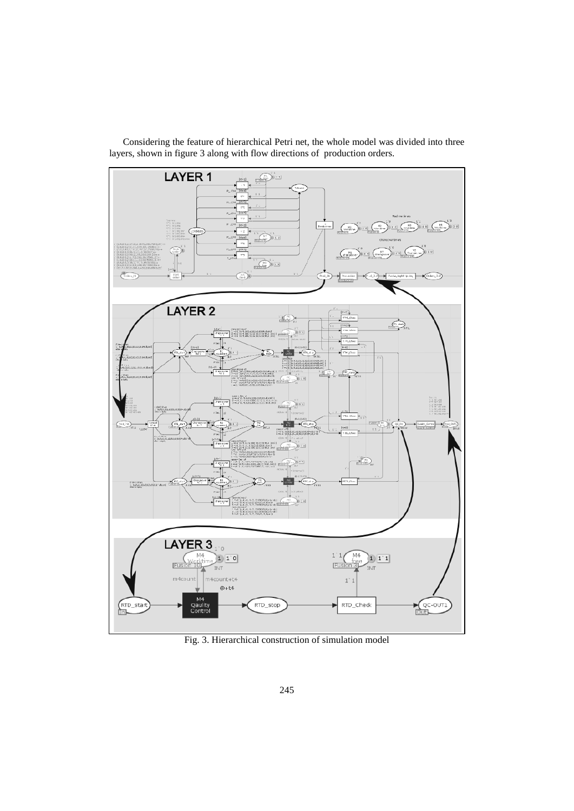

Considering the feature of hierarchical Petri net, the whole model was divided into three layers, shown in figure 3 along with flow directions of production orders.

Fig. 3. Hierarchical construction of simulation model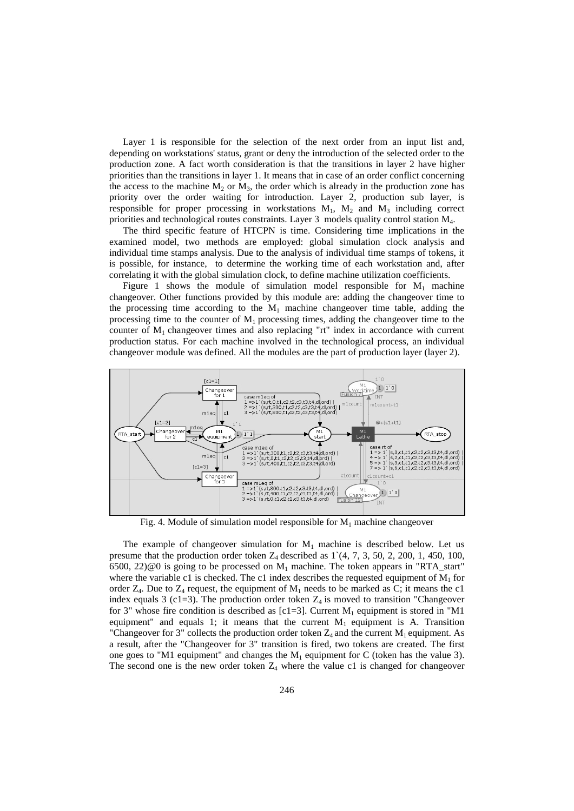Layer 1 is responsible for the selection of the next order from an input list and, depending on workstations' status, grant or deny the introduction of the selected order to the production zone. A fact worth consideration is that the transitions in layer 2 have higher priorities than the transitions in layer 1. It means that in case of an order conflict concerning the access to the machine  $M_2$  or  $M_3$ , the order which is already in the production zone has priority over the order waiting for introduction. Layer 2, production sub layer, is responsible for proper processing in workstations  $M_1$ ,  $M_2$  and  $M_3$  including correct priorities and technological routes constraints. Layer 3 models quality control station M4.

The third specific feature of HTCPN is time. Considering time implications in the examined model, two methods are employed: global simulation clock analysis and individual time stamps analysis. Due to the analysis of individual time stamps of tokens, it is possible, for instance, to determine the working time of each workstation and, after correlating it with the global simulation clock, to define machine utilization coefficients.

Figure 1 shows the module of simulation model responsible for  $M_1$  machine changeover. Other functions provided by this module are: adding the changeover time to the processing time according to the  $M_1$  machine changeover time table, adding the processing time to the counter of  $M_1$  processing times, adding the changeover time to the counter of M1 changeover times and also replacing "rt" index in accordance with current production status. For each machine involved in the technological process, an individual changeover module was defined. All the modules are the part of production layer (layer 2).



Fig. 4. Module of simulation model responsible for  $M_1$  machine changeover

The example of changeover simulation for  $M_1$  machine is described below. Let us presume that the production order token  $Z_4$  described as  $1\hat{;} (4, 7, 3, 50, 2, 200, 1, 450, 100, 100)$ 6500, 22) $@0$  is going to be processed on  $M_1$  machine. The token appears in "RTA\_start" where the variable c1 is checked. The c1 index describes the requested equipment of  $M_1$  for order  $Z_4$ . Due to  $Z_4$  request, the equipment of  $M_1$  needs to be marked as C; it means the c1 index equals 3 (c1=3). The production order token  $Z_4$  is moved to transition "Changeover for 3" whose fire condition is described as [c1=3]. Current  $M_1$  equipment is stored in "M1 equipment" and equals 1; it means that the current  $M_1$  equipment is A. Transition "Changeover for 3" collects the production order token  $Z_4$  and the current  $M_1$  equipment. As a result, after the "Changeover for 3" transition is fired, two tokens are created. The first one goes to "M1 equipment" and changes the  $M_1$  equipment for C (token has the value 3). The second one is the new order token  $Z_4$  where the value c1 is changed for changeover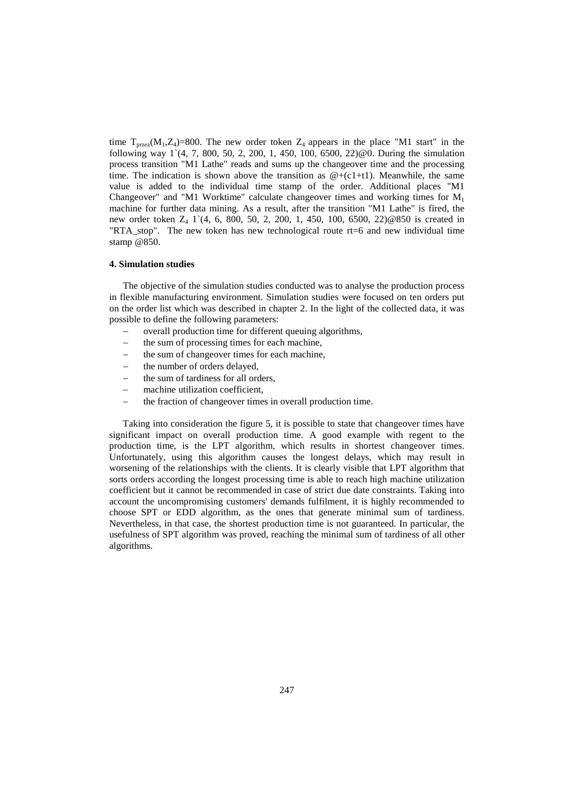time  $T_{przez}(M_1,Z_4)=800$ . The new order token  $Z_4$  appears in the place "M1 start" in the following way 1`(4, 7, 800, 50, 2, 200, 1, 450, 100, 6500, 22)@0. During the simulation process transition "M1 Lathe" reads and sums up the changeover time and the processing time. The indication is shown above the transition as  $@+(c1+t1)$ . Meanwhile, the same value is added to the individual time stamp of the order. Additional places "M1 Changeover" and "M1 Worktime" calculate changeover times and working times for  $M_1$ machine for further data mining. As a result, after the transition "M1 Lathe" is fired, the new order token Z<sub>4</sub> 1 (4, 6, 800, 50, 2, 200, 1, 450, 100, 6500, 22)@850 is created in "RTA\_stop". The new token has new technological route rt=6 and new individual time stamp @850.

#### **4. Simulation studies**

The objective of the simulation studies conducted was to analyse the production process in flexible manufacturing environment. Simulation studies were focused on ten orders put on the order list which was described in chapter 2. In the light of the collected data, it was possible to define the following parameters:

- overall production time for different queuing algorithms,
- − the sum of processing times for each machine,
- the sum of changeover times for each machine,
- the number of orders delayed,
- the sum of tardiness for all orders,
- machine utilization coefficient.
- − the fraction of changeover times in overall production time.

Taking into consideration the figure 5, it is possible to state that changeover times have significant impact on overall production time. A good example with regent to the production time, is the LPT algorithm, which results in shortest changeover times. Unfortunately, using this algorithm causes the longest delays, which may result in worsening of the relationships with the clients. It is clearly visible that LPT algorithm that sorts orders according the longest processing time is able to reach high machine utilization coefficient but it cannot be recommended in case of strict due date constraints. Taking into account the uncompromising customers' demands fulfilment, it is highly recommended to choose SPT or EDD algorithm, as the ones that generate minimal sum of tardiness. Nevertheless, in that case, the shortest production time is not guaranteed. In particular, the usefulness of SPT algorithm was proved, reaching the minimal sum of tardiness of all other algorithms.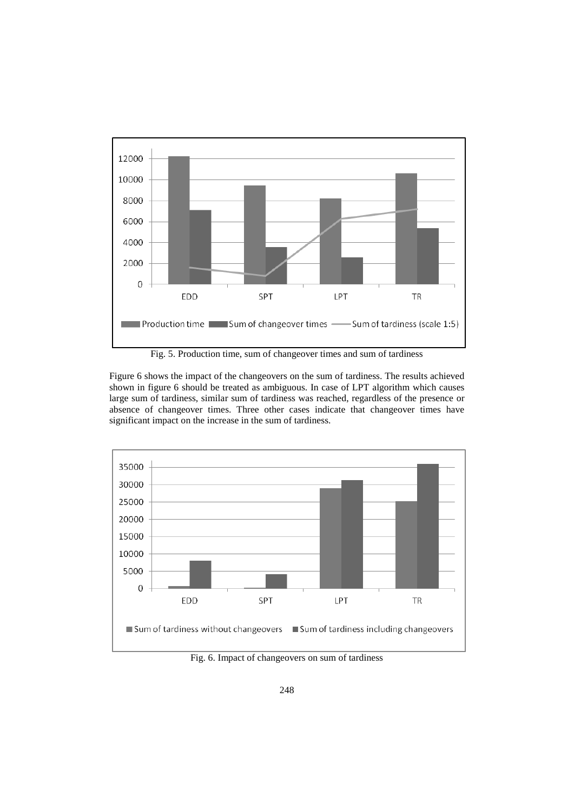

Fig. 5. Production time, sum of changeover times and sum of tardiness

Figure 6 shows the impact of the changeovers on the sum of tardiness. The results achieved shown in figure 6 should be treated as ambiguous. In case of LPT algorithm which causes large sum of tardiness, similar sum of tardiness was reached, regardless of the presence or absence of changeover times. Three other cases indicate that changeover times have significant impact on the increase in the sum of tardiness.



Fig. 6. Impact of changeovers on sum of tardiness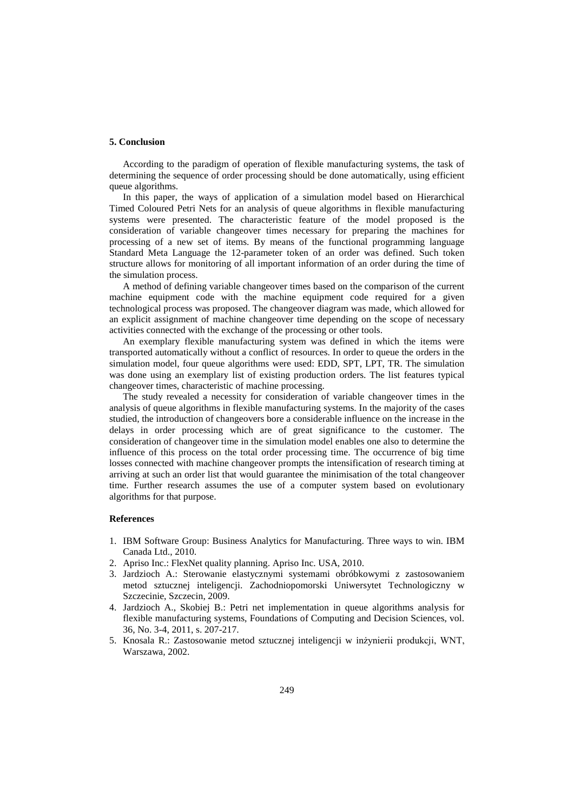# **5. Conclusion**

According to the paradigm of operation of flexible manufacturing systems, the task of determining the sequence of order processing should be done automatically, using efficient queue algorithms.

In this paper, the ways of application of a simulation model based on Hierarchical Timed Coloured Petri Nets for an analysis of queue algorithms in flexible manufacturing systems were presented. The characteristic feature of the model proposed is the consideration of variable changeover times necessary for preparing the machines for processing of a new set of items. By means of the functional programming language Standard Meta Language the 12-parameter token of an order was defined. Such token structure allows for monitoring of all important information of an order during the time of the simulation process.

A method of defining variable changeover times based on the comparison of the current machine equipment code with the machine equipment code required for a given technological process was proposed. The changeover diagram was made, which allowed for an explicit assignment of machine changeover time depending on the scope of necessary activities connected with the exchange of the processing or other tools.

An exemplary flexible manufacturing system was defined in which the items were transported automatically without a conflict of resources. In order to queue the orders in the simulation model, four queue algorithms were used: EDD, SPT, LPT, TR. The simulation was done using an exemplary list of existing production orders. The list features typical changeover times, characteristic of machine processing.

The study revealed a necessity for consideration of variable changeover times in the analysis of queue algorithms in flexible manufacturing systems. In the majority of the cases studied, the introduction of changeovers bore a considerable influence on the increase in the delays in order processing which are of great significance to the customer. The consideration of changeover time in the simulation model enables one also to determine the influence of this process on the total order processing time. The occurrence of big time losses connected with machine changeover prompts the intensification of research timing at arriving at such an order list that would guarantee the minimisation of the total changeover time. Further research assumes the use of a computer system based on evolutionary algorithms for that purpose.

### **References**

- 1. IBM Software Group: Business Analytics for Manufacturing. Three ways to win. IBM Canada Ltd., 2010.
- 2. Apriso Inc.: FlexNet quality planning. Apriso Inc. USA, 2010.
- 3. Jardzioch A.: Sterowanie elastycznymi systemami obróbkowymi z zastosowaniem metod sztucznej inteligencji. Zachodniopomorski Uniwersytet Technologiczny w Szczecinie, Szczecin, 2009.
- 4. Jardzioch A., Skobiej B.: Petri net implementation in queue algorithms analysis for flexible manufacturing systems, Foundations of Computing and Decision Sciences, vol. 36, No. 3-4, 2011, s. 207-217.
- 5. Knosala R.: Zastosowanie metod sztucznej inteligencji w inżynierii produkcji, WNT, Warszawa, 2002.